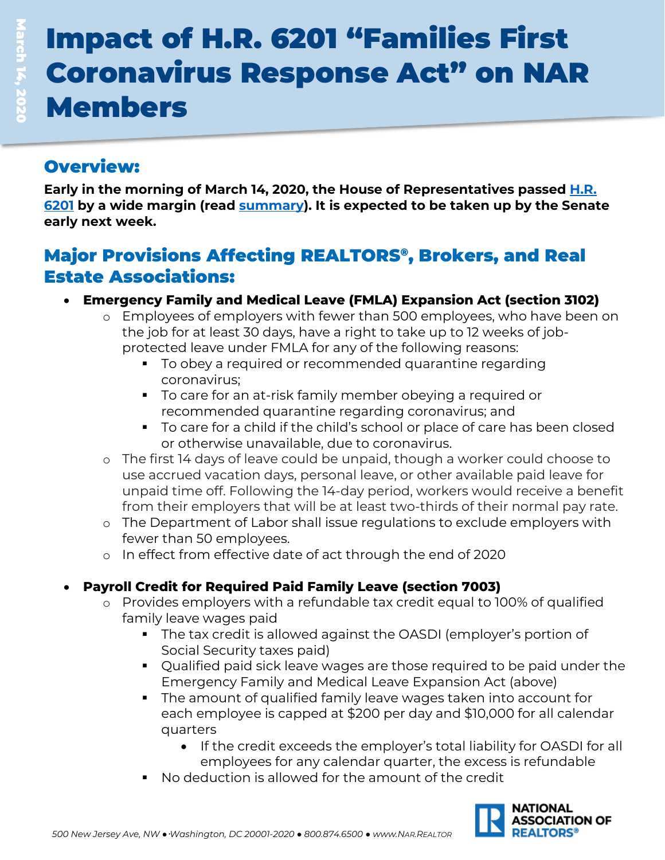# Impact of H.R. 6201 "Families First Coronavirus Response Act" on NAR Members

## Overview:

**Early in the morning of March 14, 2020, the House of Representatives passed [H.R.](https://docs.house.gov/billsthisweek/20200309/BILLS-116hr6201-SUS.pdf)  [6201](https://docs.house.gov/billsthisweek/20200309/BILLS-116hr6201-SUS.pdf) by a wide margin (read [summary\)](https://appropriations.house.gov/sites/democrats.appropriations.house.gov/files/Families%20First%20Summary%20FINAL.pdf). It is expected to be taken up by the Senate early next week.**

## Major Provisions Affecting REALTORS®, Brokers, and Real Estate Associations:

- **Emergency Family and Medical Leave (FMLA) Expansion Act (section 3102)**
	- o Employees of employers with fewer than 500 employees, who have been on the job for at least 30 days, have a right to take up to 12 weeks of jobprotected leave under FMLA for any of the following reasons:
		- To obey a required or recommended quarantine regarding coronavirus;
		- To care for an at-risk family member obeying a required or recommended quarantine regarding coronavirus; and
		- To care for a child if the child's school or place of care has been closed or otherwise unavailable, due to coronavirus.
	- o The first 14 days of leave could be unpaid, though a worker could choose to use accrued vacation days, personal leave, or other available paid leave for unpaid time off. Following the 14-day period, workers would receive a benefit from their employers that will be at least two-thirds of their normal pay rate.
	- o The Department of Labor shall issue regulations to exclude employers with fewer than 50 employees.
	- o In effect from effective date of act through the end of 2020

### • **Payroll Credit for Required Paid Family Leave (section 7003)**

- o Provides employers with a refundable tax credit equal to 100% of qualified family leave wages paid
	- The tax credit is allowed against the OASDI (employer's portion of Social Security taxes paid)
	- Qualified paid sick leave wages are those required to be paid under the Emergency Family and Medical Leave Expansion Act (above)
	- The amount of qualified family leave wages taken into account for each employee is capped at \$200 per day and \$10,000 for all calendar quarters
		- If the credit exceeds the employer's total liability for OASDI for all employees for any calendar quarter, the excess is refundable
	- No deduction is allowed for the amount of the credit

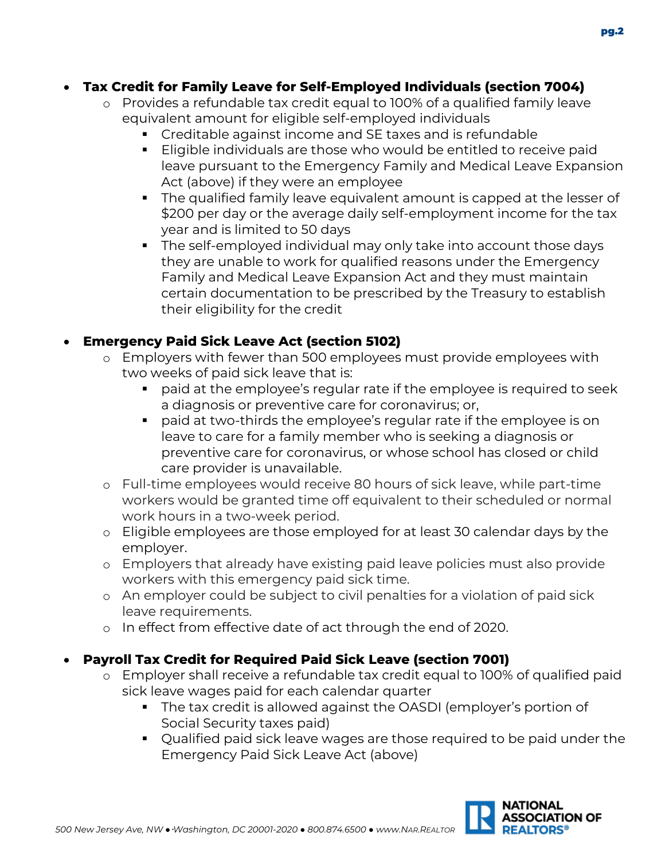#### • **Tax Credit for Family Leave for Self-Employed Individuals (section 7004)**

- o Provides a refundable tax credit equal to 100% of a qualified family leave equivalent amount for eligible self-employed individuals
	- Creditable against income and SE taxes and is refundable
	- Eligible individuals are those who would be entitled to receive paid leave pursuant to the Emergency Family and Medical Leave Expansion Act (above) if they were an employee
	- The qualified family leave equivalent amount is capped at the lesser of \$200 per day or the average daily self-employment income for the tax year and is limited to 50 days
	- The self-employed individual may only take into account those days they are unable to work for qualified reasons under the Emergency Family and Medical Leave Expansion Act and they must maintain certain documentation to be prescribed by the Treasury to establish their eligibility for the credit

#### • **Emergency Paid Sick Leave Act (section 5102)**

- o Employers with fewer than 500 employees must provide employees with two weeks of paid sick leave that is:
	- paid at the employee's regular rate if the employee is required to seek a diagnosis or preventive care for coronavirus; or,
	- paid at two-thirds the employee's regular rate if the employee is on leave to care for a family member who is seeking a diagnosis or preventive care for coronavirus, or whose school has closed or child care provider is unavailable.
- o Full-time employees would receive 80 hours of sick leave, while part-time workers would be granted time off equivalent to their scheduled or normal work hours in a two-week period.
- o Eligible employees are those employed for at least 30 calendar days by the employer.
- o Employers that already have existing paid leave policies must also provide workers with this emergency paid sick time.
- o An employer could be subject to civil penalties for a violation of paid sick leave requirements.
- o In effect from effective date of act through the end of 2020.

#### • **Payroll Tax Credit for Required Paid Sick Leave (section 7001)**

- o Employer shall receive a refundable tax credit equal to 100% of qualified paid sick leave wages paid for each calendar quarter
	- The tax credit is allowed against the OASDI (employer's portion of Social Security taxes paid)
	- Qualified paid sick leave wages are those required to be paid under the Emergency Paid Sick Leave Act (above)

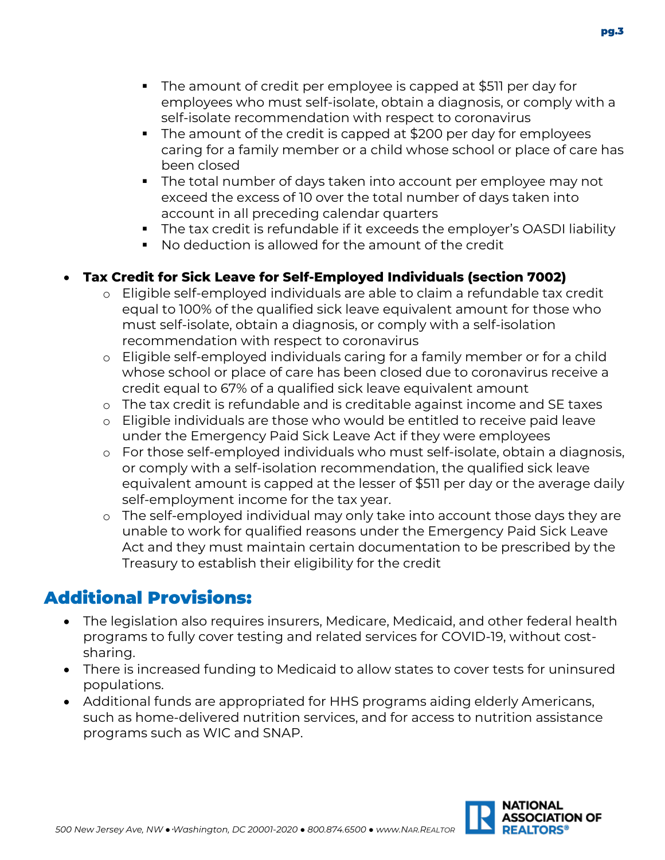- The amount of credit per employee is capped at \$511 per day for employees who must self-isolate, obtain a diagnosis, or comply with a self-isolate recommendation with respect to coronavirus
- The amount of the credit is capped at \$200 per day for employees caring for a family member or a child whose school or place of care has been closed
- The total number of days taken into account per employee may not exceed the excess of 10 over the total number of days taken into account in all preceding calendar quarters
- The tax credit is refundable if it exceeds the employer's OASDI liability
- No deduction is allowed for the amount of the credit

#### • **Tax Credit for Sick Leave for Self-Employed Individuals (section 7002)**

- o Eligible self-employed individuals are able to claim a refundable tax credit equal to 100% of the qualified sick leave equivalent amount for those who must self-isolate, obtain a diagnosis, or comply with a self-isolation recommendation with respect to coronavirus
- o Eligible self-employed individuals caring for a family member or for a child whose school or place of care has been closed due to coronavirus receive a credit equal to 67% of a qualified sick leave equivalent amount
- o The tax credit is refundable and is creditable against income and SE taxes
- o Eligible individuals are those who would be entitled to receive paid leave under the Emergency Paid Sick Leave Act if they were employees
- o For those self-employed individuals who must self-isolate, obtain a diagnosis, or comply with a self-isolation recommendation, the qualified sick leave equivalent amount is capped at the lesser of \$511 per day or the average daily self-employment income for the tax year.
- o The self-employed individual may only take into account those days they are unable to work for qualified reasons under the Emergency Paid Sick Leave Act and they must maintain certain documentation to be prescribed by the Treasury to establish their eligibility for the credit

## Additional Provisions:

- The legislation also requires insurers, Medicare, Medicaid, and other federal health programs to fully cover testing and related services for COVID-19, without costsharing.
- There is increased funding to Medicaid to allow states to cover tests for uninsured populations.
- Additional funds are appropriated for HHS programs aiding elderly Americans, such as home-delivered nutrition services, and for access to nutrition assistance programs such as WIC and SNAP.